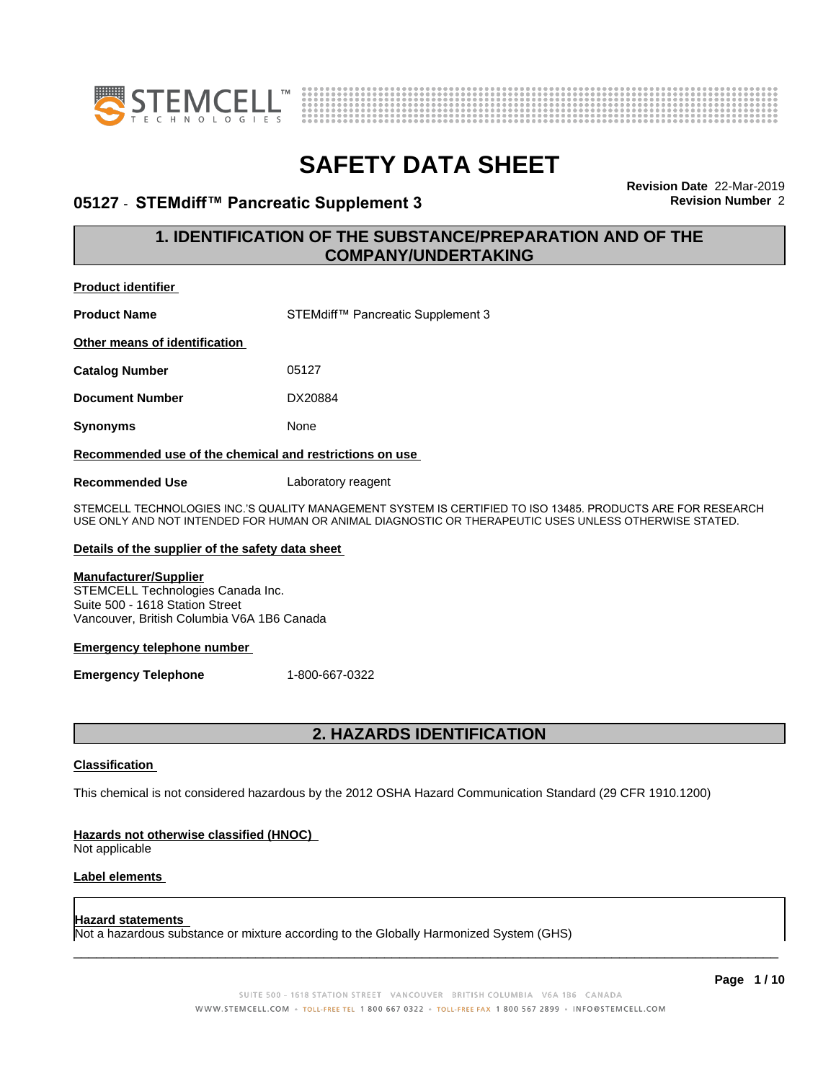



# **05127 • STEMdiff™ Pancreatic Supplement 3** Revision Number 2

**Revision Date** 22-Mar-2019

# **1. IDENTIFICATION OF THE SUBSTANCE/PREPARATION AND OF THE COMPANY/UNDERTAKING**

| Proquct identifier            |                                   |
|-------------------------------|-----------------------------------|
| <b>Product Name</b>           | STEMdiff™ Pancreatic Supplement 3 |
| Other means of identification |                                   |
| <b>Catalog Number</b>         | 05127                             |
| <b>Document Number</b>        | DX20884                           |
| <b>Synonyms</b>               | None                              |
|                               |                                   |

#### **Recommended use of the chemical and restrictions on use**

**Recommended Use** Laboratory reagent

STEMCELL TECHNOLOGIES INC.'S QUALITY MANAGEMENT SYSTEM IS CERTIFIED TO ISO 13485. PRODUCTS ARE FOR RESEARCH USE ONLY AND NOT INTENDED FOR HUMAN OR ANIMAL DIAGNOSTIC OR THERAPEUTIC USES UNLESS OTHERWISE STATED.

#### **Details of the supplier of the safety data sheet**

#### **Manufacturer/Supplier**

**Product identifier**

STEMCELL Technologies Canada Inc. Suite 500 - 1618 Station Street Vancouver, British Columbia V6A 1B6 Canada

#### **Emergency telephone number**

**Emergency Telephone** 1-800-667-0322

# **2. HAZARDS IDENTIFICATION**

## **Classification**

This chemical is not considered hazardous by the 2012 OSHA Hazard Communication Standard (29 CFR 1910.1200)

#### **Hazards not otherwise classified (HNOC)**

Not applicable

# **Label elements**

#### **Hazard statements**

Not a hazardous substance or mixture according to the Globally Harmonized System (GHS)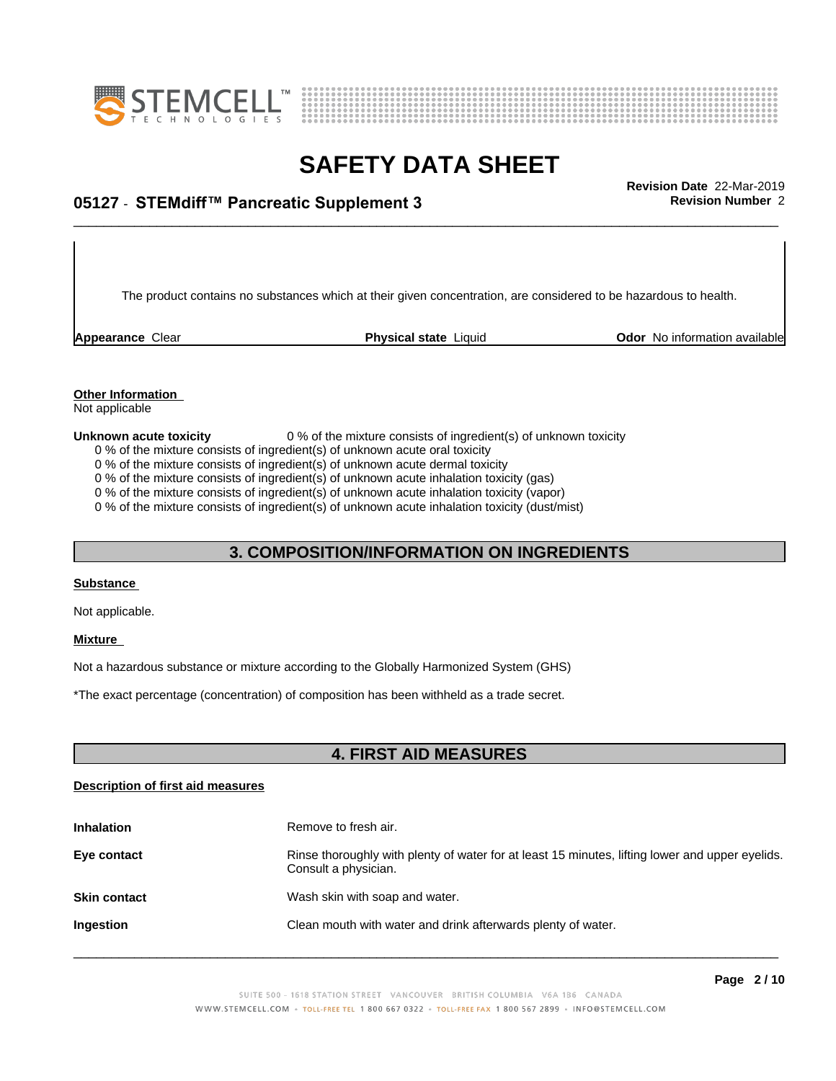



# \_\_\_\_\_\_\_\_\_\_\_\_\_\_\_\_\_\_\_\_\_\_\_\_\_\_\_\_\_\_\_\_\_\_\_\_\_\_\_\_\_\_\_\_\_\_\_\_\_\_\_\_\_\_\_\_\_\_\_\_\_\_\_\_\_\_\_\_\_\_\_\_\_\_\_\_\_\_\_\_\_\_\_\_\_\_\_\_\_\_\_\_\_ **Revision Date** 22-Mar-2019 **05127** - **STEMdiff™ PancreaticSupplement3 Revision Number** 2

The product contains no substances which at their given concentration, are considered to be hazardous to health.

**Appearance** Clear **Physical state** Liquid **Odor No information available Appearance** Clear

# **Other Information**

Not applicable

**Unknown acute toxicity** 0 % of the mixture consists of ingredient(s) of unknown toxicity

0 % of the mixture consists of ingredient(s) of unknown acute oral toxicity 0 % of the mixture consists of ingredient(s) of unknown acute dermal toxicity

0 % of the mixture consists of ingredient(s) of unknown acute inhalation toxicity (gas)

0 % of the mixture consists of ingredient(s) of unknown acute inhalation toxicity (vapor)

0 % of the mixture consists of ingredient(s) of unknown acute inhalation toxicity (dust/mist)

# **3. COMPOSITION/INFORMATION ON INGREDIENTS**

#### **Substance**

Not applicable.

#### **Mixture**

Not a hazardous substance or mixture according to the Globally Harmonized System (GHS)

\*The exact percentage (concentration) ofcomposition has been withheld as a trade secret.

# **4. FIRST AID MEASURES**

## **Description of first aid measures**

| <b>Inhalation</b>   | Remove to fresh air.                                                                                                    |
|---------------------|-------------------------------------------------------------------------------------------------------------------------|
| Eye contact         | Rinse thoroughly with plenty of water for at least 15 minutes, lifting lower and upper eyelids.<br>Consult a physician. |
| <b>Skin contact</b> | Wash skin with soap and water.                                                                                          |
| Ingestion           | Clean mouth with water and drink afterwards plenty of water.                                                            |
|                     |                                                                                                                         |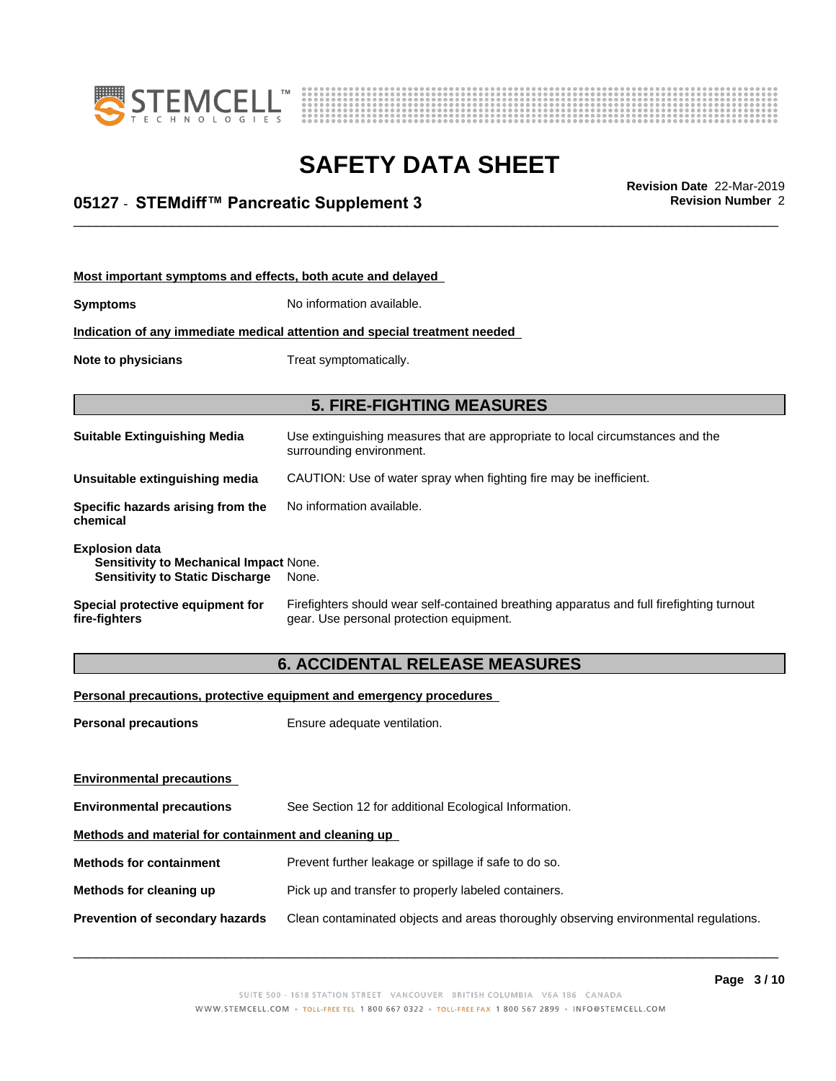



# \_\_\_\_\_\_\_\_\_\_\_\_\_\_\_\_\_\_\_\_\_\_\_\_\_\_\_\_\_\_\_\_\_\_\_\_\_\_\_\_\_\_\_\_\_\_\_\_\_\_\_\_\_\_\_\_\_\_\_\_\_\_\_\_\_\_\_\_\_\_\_\_\_\_\_\_\_\_\_\_\_\_\_\_\_\_\_\_\_\_\_\_\_ **Revision Date** 22-Mar-2019 **05127** - **STEMdiff™ PancreaticSupplement3 Revision Number** 2

| Most important symptoms and effects, both acute and delayed                                               |                                                                                                                                       |
|-----------------------------------------------------------------------------------------------------------|---------------------------------------------------------------------------------------------------------------------------------------|
| <b>Symptoms</b>                                                                                           | No information available.                                                                                                             |
|                                                                                                           | Indication of any immediate medical attention and special treatment needed                                                            |
| Note to physicians                                                                                        | Treat symptomatically.                                                                                                                |
|                                                                                                           | <b>5. FIRE-FIGHTING MEASURES</b>                                                                                                      |
| <b>Suitable Extinguishing Media</b>                                                                       | Use extinguishing measures that are appropriate to local circumstances and the<br>surrounding environment.                            |
| Unsuitable extinguishing media                                                                            | CAUTION: Use of water spray when fighting fire may be inefficient.                                                                    |
| Specific hazards arising from the<br>chemical                                                             | No information available.                                                                                                             |
| <b>Explosion data</b><br>Sensitivity to Mechanical Impact None.<br><b>Sensitivity to Static Discharge</b> | None.                                                                                                                                 |
| Special protective equipment for<br>fire-fighters                                                         | Firefighters should wear self-contained breathing apparatus and full firefighting turnout<br>gear. Use personal protection equipment. |

# **6. ACCIDENTAL RELEASE MEASURES**

**Personal precautions, protective equipment and emergency procedures**

**Personal precautions** Ensure adequate ventilation.

| <b>Environmental precautions</b>                     |                                                                                      |  |
|------------------------------------------------------|--------------------------------------------------------------------------------------|--|
| <b>Environmental precautions</b>                     | See Section 12 for additional Ecological Information.                                |  |
| Methods and material for containment and cleaning up |                                                                                      |  |
| <b>Methods for containment</b>                       | Prevent further leakage or spillage if safe to do so.                                |  |
| Methods for cleaning up                              | Pick up and transfer to properly labeled containers.                                 |  |
| Prevention of secondary hazards                      | Clean contaminated objects and areas thoroughly observing environmental regulations. |  |
|                                                      |                                                                                      |  |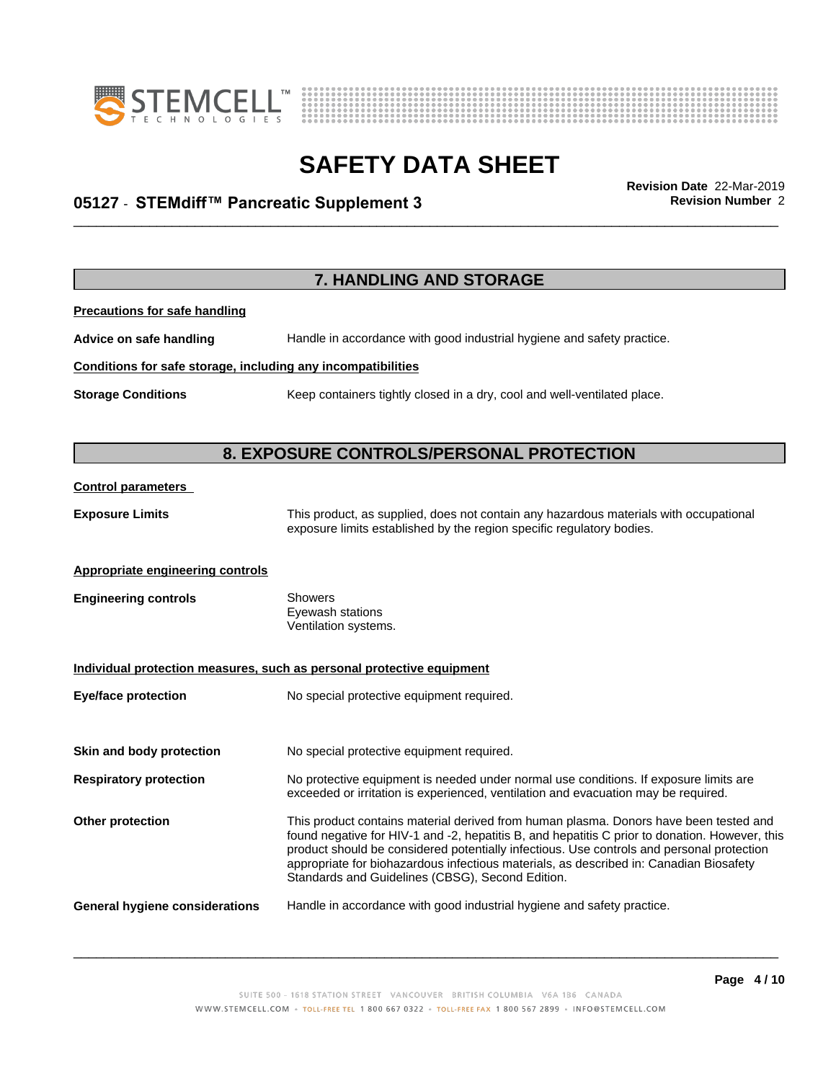



# \_\_\_\_\_\_\_\_\_\_\_\_\_\_\_\_\_\_\_\_\_\_\_\_\_\_\_\_\_\_\_\_\_\_\_\_\_\_\_\_\_\_\_\_\_\_\_\_\_\_\_\_\_\_\_\_\_\_\_\_\_\_\_\_\_\_\_\_\_\_\_\_\_\_\_\_\_\_\_\_\_\_\_\_\_\_\_\_\_\_\_\_\_ **Revision Date** 22-Mar-2019 **05127** - **STEMdiff™ PancreaticSupplement3 Revision Number** 2

**7. HANDLING AND STORAGE Precautions for safe handling Advice on safe handling** Handle in accordance with good industrial hygiene and safety practice. **Conditions for safe storage, including any incompatibilities Storage Conditions** Keep containers tightly closed in a dry, cool and well-ventilated place. **8. EXPOSURE CONTROLS/PERSONAL PROTECTION Control parameters Exposure Limits** This product, as supplied, does not contain any hazardous materials with occupational exposure limits established by the region specific regulatory bodies. **Appropriate engineering controls Engineering controls** Showers Eyewash stations Ventilation systems. **Individual protection measures, such as personal protective equipment Eye/face protection** No special protective equipment required. **Skin and body protection** No special protective equipment required. **Respiratory protection** No protective equipment is needed under normal use conditions. If exposure limits are exceeded or irritation is experienced, ventilation and evacuation may be required. **Other protection** This product contains material derived from human plasma. Donors have been tested and found negative for HIV-1 and -2, hepatitis B, and hepatitis C prior to donation. However, this product should be considered potentially infectious. Use controls and personal protection appropriate for biohazardous infectious materials, as described in: Canadian Biosafety Standards and Guidelines (CBSG), Second Edition. **General hygiene considerations** Handle in accordance with good industrial hygiene and safety practice.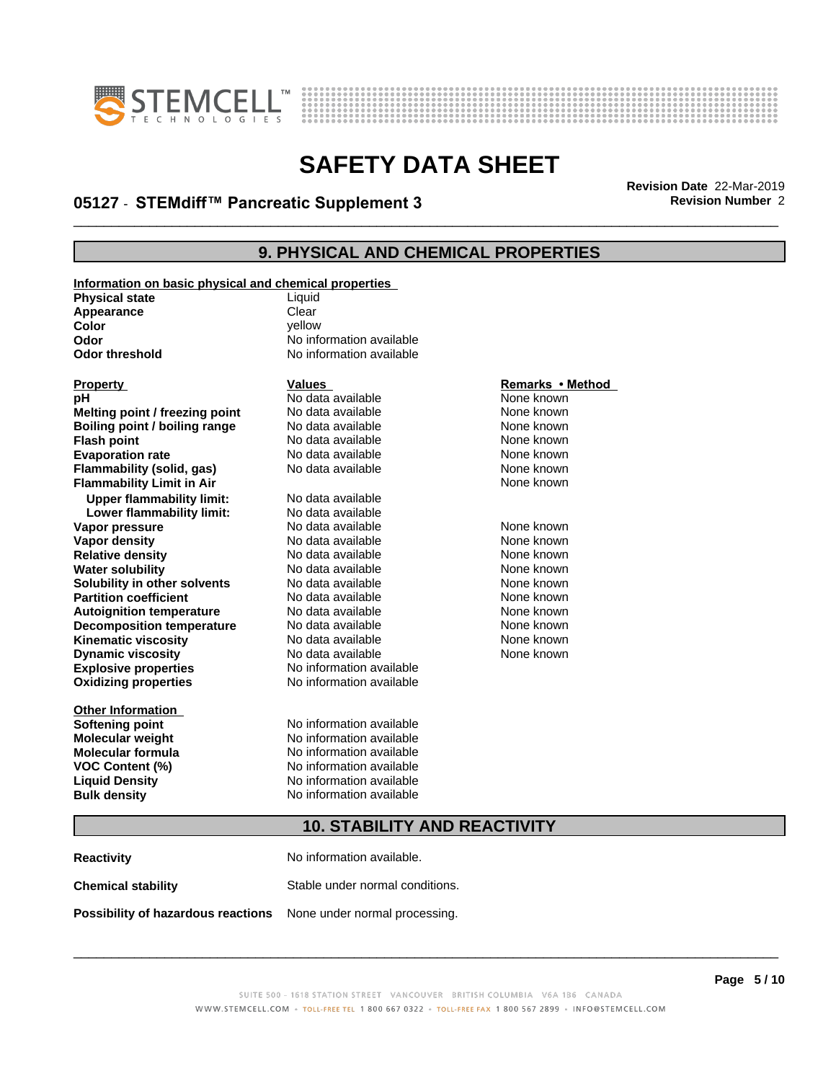



# \_\_\_\_\_\_\_\_\_\_\_\_\_\_\_\_\_\_\_\_\_\_\_\_\_\_\_\_\_\_\_\_\_\_\_\_\_\_\_\_\_\_\_\_\_\_\_\_\_\_\_\_\_\_\_\_\_\_\_\_\_\_\_\_\_\_\_\_\_\_\_\_\_\_\_\_\_\_\_\_\_\_\_\_\_\_\_\_\_\_\_\_\_ **Revision Date** 22-Mar-2019 **05127** - **STEMdiff™ PancreaticSupplement3 Revision Number** 2

# **9. PHYSICAL AND CHEMICAL PROPERTIES**

**Information on basic physical and chemical properties Physical state** Liquid **Appearance** Clear<br> **Color** Color **Color** yellow

#### **Explosive properties**<br> **Oxidizing properties**<br>
No information available **Oxidizing properties Property Calles Values Values**<br> **Property Called All Remarks • Method**<br> **PH** Mone known **Melting point / freezing point** No data available None known<br> **Boiling point / boiling range** No data available None known **Boiling point / boiling range** No data available None known<br> **Flash point None known**<br>
No data available None known **Flash point** No data available **Evaporation rate** *rate* No data available **None known Flammability (solid, gas)** No data available None known **Flammability Limit in Air None known None known Upper flammability limit:** No data available **Lower flammability limit:** No data available **Vapor pressure** 1980 in the Modata available 1980 in the None known<br> **Vapor density** 1980 in the None Known None known in the None known None known **Vapor density No data available and the Choice of Choice Algebra 2016** None known<br> **Relative density No data available None known Relative density Water solubility No data available None known Solubility in other solvents** No data available None known **Partition coefficient**<br> **Autoignition temperature**<br>
No data available None Known<br>
None known **Autoignition temperature** Mo data available Mone known<br> **Decomposition temperature** No data available None known **Decomposition temperature** No data available None known<br> **Kinematic viscosity** No data available None known **Kinematic viscosity** No data available<br> **Dynamic viscosity** No data available **Dynamic** viscosity

**Other Information**

# **Odor Odor** No information available<br> **Odor threshold No information available No information available**

# **PH** No data available **None known**<br>
No data available None known

**Softening point** No information available **Molecular weight** No information available **Molecular formula** No information available **VOC Content (%)** No information available **Liquid Density** No information available **Bulk density** No information available

None known

# **10. STABILITY AND REACTIVITY**

**Reactivity** No information available. **Chemical stability** Stable under normal conditions. **Possibility of hazardous reactions** None under normal processing.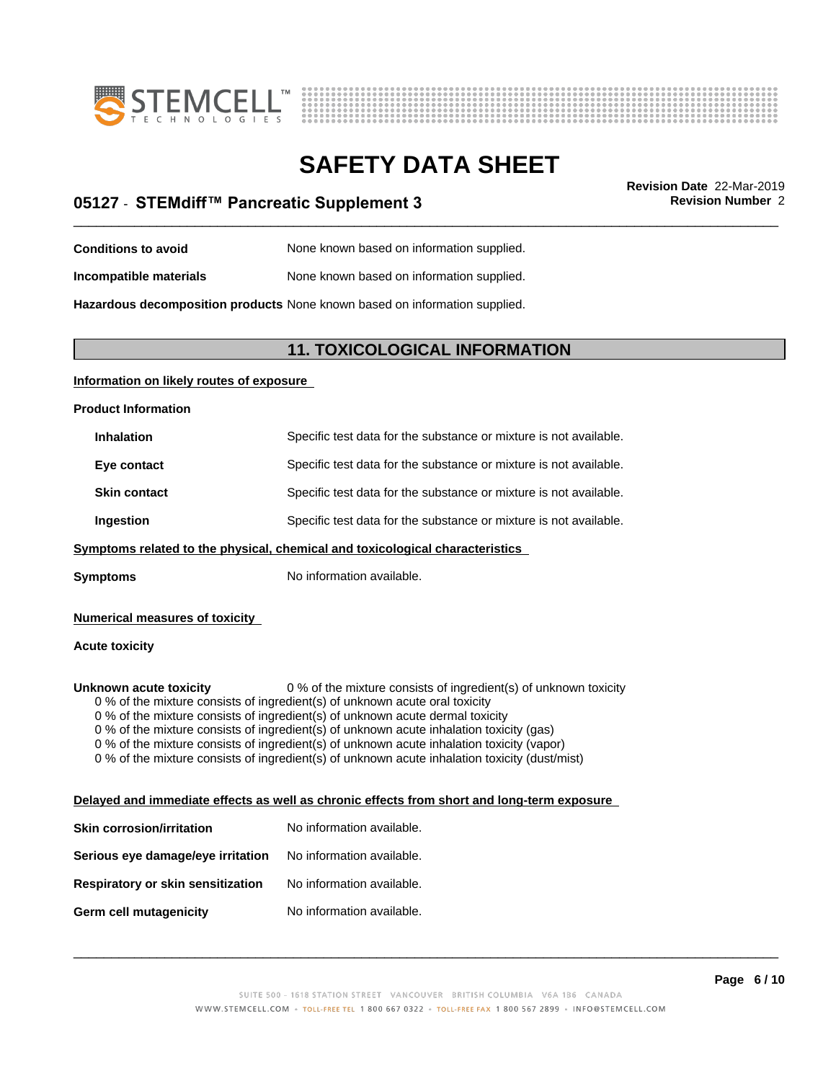



# \_\_\_\_\_\_\_\_\_\_\_\_\_\_\_\_\_\_\_\_\_\_\_\_\_\_\_\_\_\_\_\_\_\_\_\_\_\_\_\_\_\_\_\_\_\_\_\_\_\_\_\_\_\_\_\_\_\_\_\_\_\_\_\_\_\_\_\_\_\_\_\_\_\_\_\_\_\_\_\_\_\_\_\_\_\_\_\_\_\_\_\_\_ **Revision Date** 22-Mar-2019 **05127** - **STEMdiff™ PancreaticSupplement3 Revision Number** 2

- **Conditions to avoid** None known based on information supplied.
- **Incompatible materials** None known based on information supplied.

**Hazardous decomposition products** None known based on information supplied.

# **11. TOXICOLOGICAL INFORMATION**

# **Information on likely routes of exposure**

**Product Information**

| <b>Inhalation</b>   | Specific test data for the substance or mixture is not available. |
|---------------------|-------------------------------------------------------------------|
| Eye contact         | Specific test data for the substance or mixture is not available. |
| <b>Skin contact</b> | Specific test data for the substance or mixture is not available. |
| Ingestion           | Specific test data for the substance or mixture is not available. |

# **<u>Symptoms related to the physical, chemical and toxicological characteristics</u>**

**Symptoms** No information available.

#### **Numerical measures of toxicity**

# **Acute toxicity**

**Unknown acute toxicity** 0 % of the mixture consists of ingredient(s) of unknown toxicity

0 % of the mixture consists of ingredient(s) of unknown acute oral toxicity

 $0$  % of the mixture consists of ingredient(s) of unknown acute dermal toxicity

0 % of the mixture consists of ingredient(s) of unknown acute inhalation toxicity (gas)

0 % of the mixture consists of ingredient(s) of unknown acute inhalation toxicity (vapor)

0 % of the mixture consists of ingredient(s) of unknown acute inhalation toxicity (dust/mist)

## **Delayed and immediate effects as well as chronic effects from short and long-term exposure**

| Skin corrosion/irritation         | No information available. |
|-----------------------------------|---------------------------|
| Serious eye damage/eye irritation | No information available. |
| Respiratory or skin sensitization | No information available. |
| Germ cell mutagenicity            | No information available. |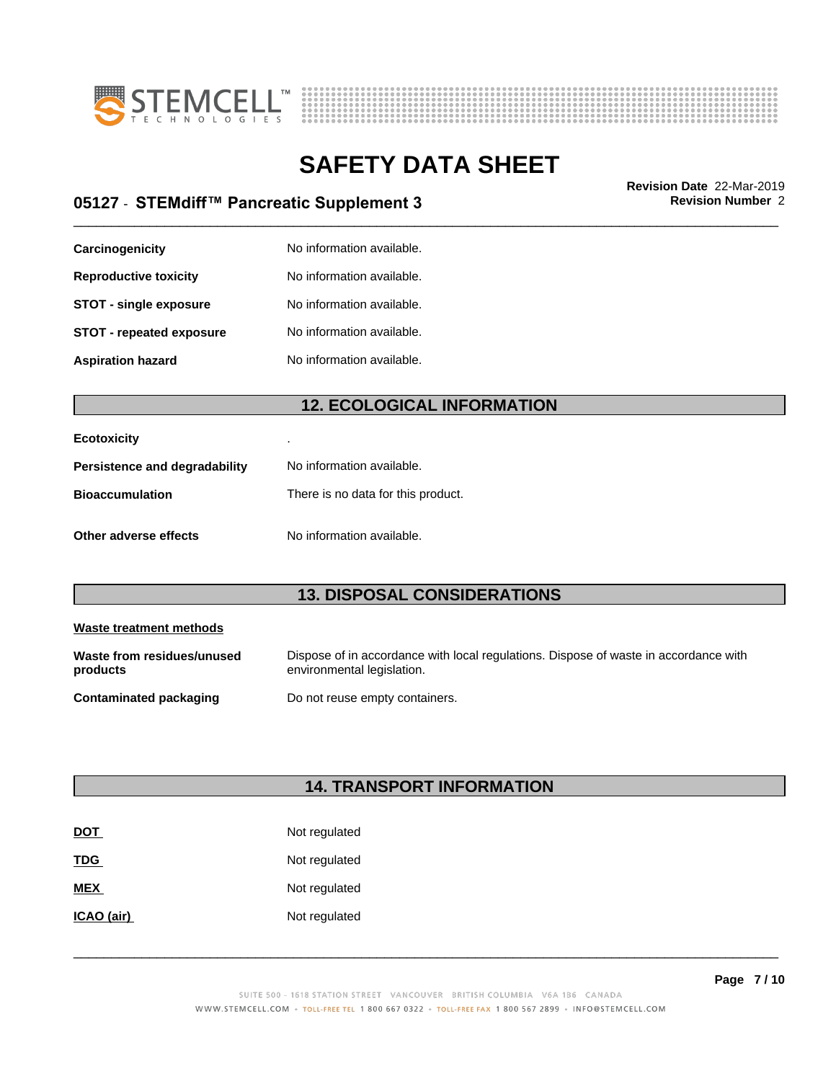



# \_\_\_\_\_\_\_\_\_\_\_\_\_\_\_\_\_\_\_\_\_\_\_\_\_\_\_\_\_\_\_\_\_\_\_\_\_\_\_\_\_\_\_\_\_\_\_\_\_\_\_\_\_\_\_\_\_\_\_\_\_\_\_\_\_\_\_\_\_\_\_\_\_\_\_\_\_\_\_\_\_\_\_\_\_\_\_\_\_\_\_\_\_ **Revision Date** 22-Mar-2019 **05127** - **STEMdiff™ PancreaticSupplement3 Revision Number** 2

| Carcinogenicity                 | No information available. |
|---------------------------------|---------------------------|
| <b>Reproductive toxicity</b>    | No information available. |
| <b>STOT - single exposure</b>   | No information available. |
| <b>STOT - repeated exposure</b> | No information available. |
| <b>Aspiration hazard</b>        | No information available. |

# **12. ECOLOGICAL INFORMATION**

| <b>Ecotoxicity</b>            |                                    |
|-------------------------------|------------------------------------|
| Persistence and degradability | No information available.          |
| <b>Bioaccumulation</b>        | There is no data for this product. |
| Other adverse effects         | No information available.          |

# **13. DISPOSAL CONSIDERATIONS**

| Waste treatment methods                |                                                                                                                    |
|----------------------------------------|--------------------------------------------------------------------------------------------------------------------|
| Waste from residues/unused<br>products | Dispose of in accordance with local regulations. Dispose of waste in accordance with<br>environmental legislation. |
| Contaminated packaging                 | Do not reuse empty containers.                                                                                     |

# **14. TRANSPORT INFORMATION**

| <b>DOT</b> | Not regulated |
|------------|---------------|
| <b>TDG</b> | Not regulated |
| <b>MEX</b> | Not regulated |
| ICAO (air) | Not regulated |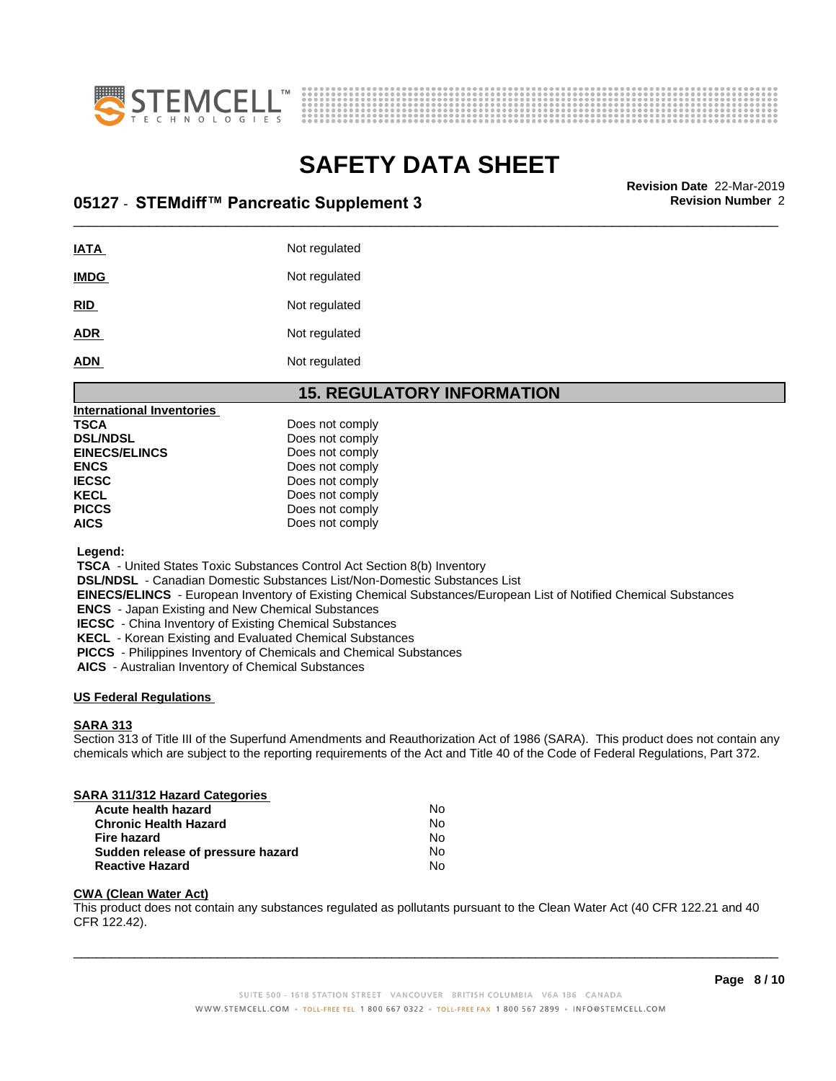



# \_\_\_\_\_\_\_\_\_\_\_\_\_\_\_\_\_\_\_\_\_\_\_\_\_\_\_\_\_\_\_\_\_\_\_\_\_\_\_\_\_\_\_\_\_\_\_\_\_\_\_\_\_\_\_\_\_\_\_\_\_\_\_\_\_\_\_\_\_\_\_\_\_\_\_\_\_\_\_\_\_\_\_\_\_\_\_\_\_\_\_\_\_ **Revision Date** 22-Mar-2019 **05127** - **STEMdiff™ PancreaticSupplement3 Revision Number** 2

| IATA        | Not regulated |
|-------------|---------------|
| <b>IMDG</b> | Not regulated |
| <u>RID</u>  | Not regulated |
| <b>ADR</b>  | Not regulated |
| <b>ADN</b>  | Not regulated |

# **15. REGULATORY INFORMATION**

| TSCA<br>Does not comply<br><b>DSL/NDSL</b><br>Does not comply<br><b>EINECS/ELINCS</b><br>Does not comply<br>Does not comply<br>ENCS<br>IECSC<br>Does not comply<br>Does not comply<br>KECL<br>PICCS<br>Does not comply<br>AICS<br>Does not comply | International Inventories |  |
|---------------------------------------------------------------------------------------------------------------------------------------------------------------------------------------------------------------------------------------------------|---------------------------|--|
|                                                                                                                                                                                                                                                   |                           |  |
|                                                                                                                                                                                                                                                   |                           |  |
|                                                                                                                                                                                                                                                   |                           |  |
|                                                                                                                                                                                                                                                   |                           |  |
|                                                                                                                                                                                                                                                   |                           |  |
|                                                                                                                                                                                                                                                   |                           |  |
|                                                                                                                                                                                                                                                   |                           |  |
|                                                                                                                                                                                                                                                   |                           |  |

 **Legend:**

 **TSCA** - United States Toxic Substances Control Act Section 8(b) Inventory

 **DSL/NDSL** - Canadian Domestic Substances List/Non-Domestic Substances List

 **EINECS/ELINCS** - European Inventory of Existing Chemical Substances/European List of Notified Chemical Substances

 **ENCS** - Japan Existing and New Chemical Substances

 **IECSC** - China Inventory of Existing Chemical Substances

 **KECL** - Korean Existing and Evaluated Chemical Substances

 **PICCS** - Philippines Inventory of Chemicals and Chemical Substances

 **AICS** - Australian Inventory of Chemical Substances

# **US Federal Regulations**

#### **SARA 313**

Section 313 of Title III of the Superfund Amendments and Reauthorization Act of 1986 (SARA). This product does not contain any chemicals which are subject to the reporting requirements of the Act and Title 40 of the Code of Federal Regulations, Part 372.

# **SARA 311/312 Hazard Categories**

| <b>Acute health hazard</b>        | N٥ |
|-----------------------------------|----|
| <b>Chronic Health Hazard</b>      | No |
| Fire hazard                       | N٥ |
| Sudden release of pressure hazard | N٥ |
| <b>Reactive Hazard</b>            | Nο |

# **CWA (Clean WaterAct)**

This product does not contain any substances regulated as pollutants pursuant to the Clean Water Act (40 CFR 122.21 and 40 CFR 122.42).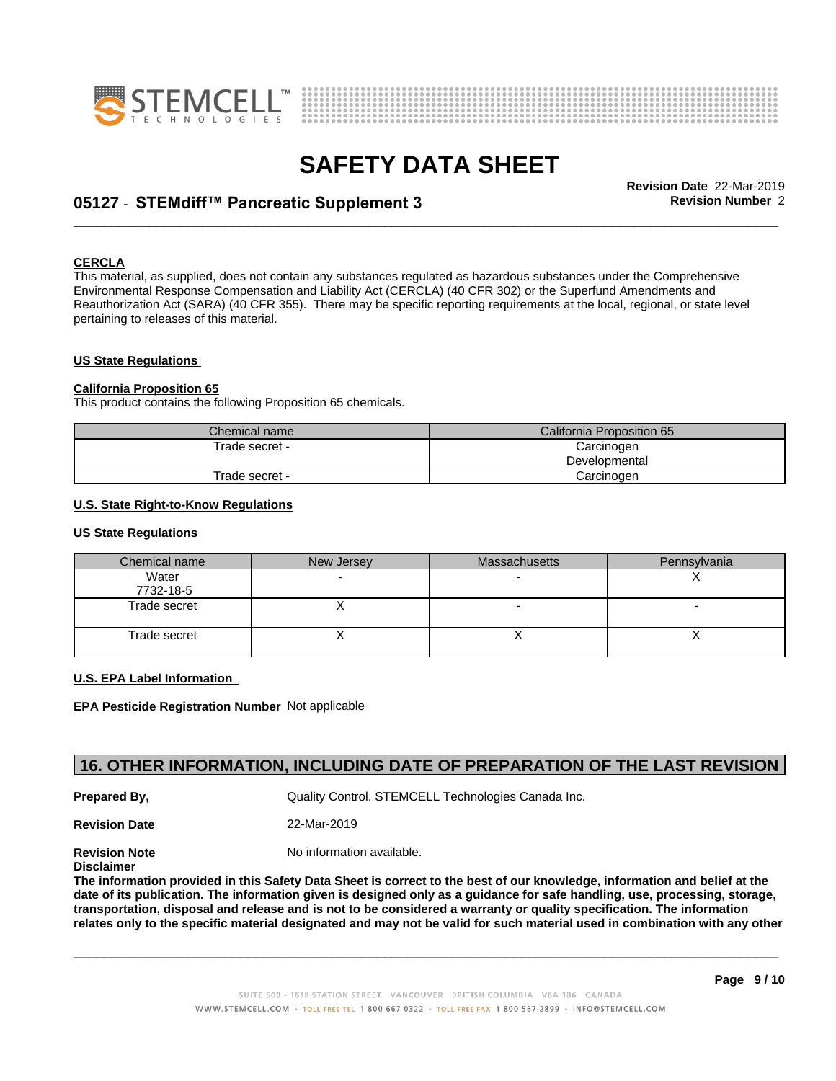



# \_\_\_\_\_\_\_\_\_\_\_\_\_\_\_\_\_\_\_\_\_\_\_\_\_\_\_\_\_\_\_\_\_\_\_\_\_\_\_\_\_\_\_\_\_\_\_\_\_\_\_\_\_\_\_\_\_\_\_\_\_\_\_\_\_\_\_\_\_\_\_\_\_\_\_\_\_\_\_\_\_\_\_\_\_\_\_\_\_\_\_\_\_ **Revision Date** 22-Mar-2019 **05127** - **STEMdiff™ PancreaticSupplement3 Revision Number** 2

## **CERCLA**

This material, as supplied, does not contain any substances regulated as hazardous substances under the Comprehensive Environmental Response Compensation and Liability Act (CERCLA) (40 CFR 302) or the Superfund Amendments and Reauthorization Act (SARA) (40 CFR 355). There may be specific reporting requirements at the local, regional, or state level pertaining to releases of this material.

#### **US State Regulations**

#### **California Proposition 65**

This product contains the following Proposition 65 chemicals.

| Chemical name  | California Proposition 65 |
|----------------|---------------------------|
| Frade secret - | Carcinogen                |
|                | Developmental             |
| Trade secret - | Carcinogen                |

#### **U.S. State Right-to-Know Regulations**

#### **US State Regulations**

| Chemical name      | New Jersey | <b>Massachusetts</b> | Pennsylvania |
|--------------------|------------|----------------------|--------------|
| Water<br>7732-18-5 |            |                      |              |
| Trade secret       |            | ۰                    |              |
| Trade secret       |            | ,,                   |              |

#### **U.S. EPA Label Information**

**EPA Pesticide Registration Number** Not applicable

# **16. OTHER INFORMATION, INCLUDING DATE OF PREPARATION OF THE LAST REVISION**

**Prepared By, State Control. STEMCELL Technologies Canada Inc.** Canada Inc.

**Revision Date** 22-Mar-2019

**Revision Note** Noinformation available.

**Disclaimer**

The information provided in this Safety Data Sheet is correct to the best of our knowledge, information and belief at the date of its publication. The information given is designed only as a guidance for safe handling, use, processing, storage, transportation, disposal and release and is not to be considered a warranty or quality specification. The information relates only to the specific material designated and may not be valid for such material used in combination with any other